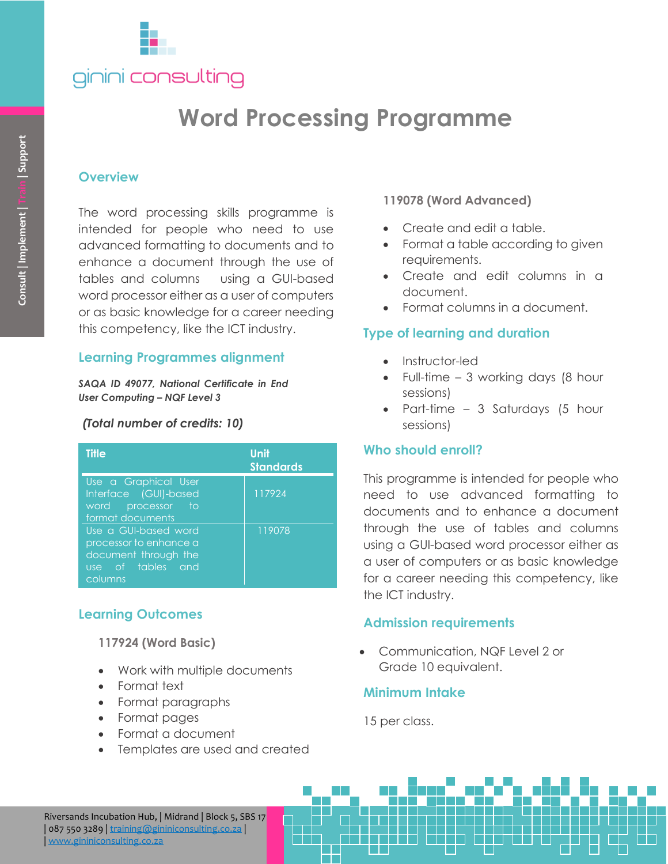

# **Word Processing Programme**

### **Overview**

### **Learning Programmes alignment**

#### *(Total number of credits: 10)*

| Consult   Implement   Train   Support                                                                              | <b>Overview</b><br>The word processing skills programme is<br>intended for people who need to use<br>advanced formatting to documents and to<br>enhance a document through the use of<br>tables and columns using a GUI-based<br>word processor either as a user of computers<br>or as basic knowledge for a career needing<br>this competency, like the ICT industry. |                  |
|--------------------------------------------------------------------------------------------------------------------|------------------------------------------------------------------------------------------------------------------------------------------------------------------------------------------------------------------------------------------------------------------------------------------------------------------------------------------------------------------------|------------------|
|                                                                                                                    | <b>Learning Programmes alignment</b>                                                                                                                                                                                                                                                                                                                                   |                  |
| SAQA ID 49077, National Certificate in End<br><b>User Computing - NQF Level 3</b><br>(Total number of credits: 10) |                                                                                                                                                                                                                                                                                                                                                                        |                  |
|                                                                                                                    |                                                                                                                                                                                                                                                                                                                                                                        |                  |
|                                                                                                                    | Use a Graphical User<br>Interface (GUI)-based<br>processor<br>word<br>to<br>format documents<br>Use a GUI-based word<br>processor to enhance a<br>document through the<br>use of tables and<br>columns                                                                                                                                                                 | 117924<br>119078 |
|                                                                                                                    |                                                                                                                                                                                                                                                                                                                                                                        |                  |
| <b>Learning Outcomes</b><br>117924 (Word Basic)                                                                    |                                                                                                                                                                                                                                                                                                                                                                        |                  |
|                                                                                                                    |                                                                                                                                                                                                                                                                                                                                                                        |                  |
|                                                                                                                    |                                                                                                                                                                                                                                                                                                                                                                        |                  |
|                                                                                                                    | Riversands Incubation Hub,   Midrand   Block 5, SBS 17<br>087 550 3289   training@gininiconsulting.co.za<br>www.gininiconsulting.co.za                                                                                                                                                                                                                                 |                  |

## **Learning Outcomes**

- Work with multiple documents
- Format text
- Format paragraphs
- Format pages
- Format a document
- Templates are used and created

### **119078 (Word Advanced)**

- Create and edit a table.
- Format a table according to given requirements.
- Create and edit columns in a document.
- Format columns in a document.

# **Type of learning and duration**

- Instructor-led
- Full-time 3 working days (8 hour sessions)
- Part-time 3 Saturdays (5 hour sessions)

## **Who should enroll?**

This programme is intended for people who need to use advanced formatting to documents and to enhance a document through the use of tables and columns using a GUI-based word processor either as a user of computers or as basic knowledge for a career needing this competency, like the ICT industry.

## **Admission requirements**

• Communication, NQF Level 2 or Grade 10 equivalent.

# **Minimum Intake**

15 per class.